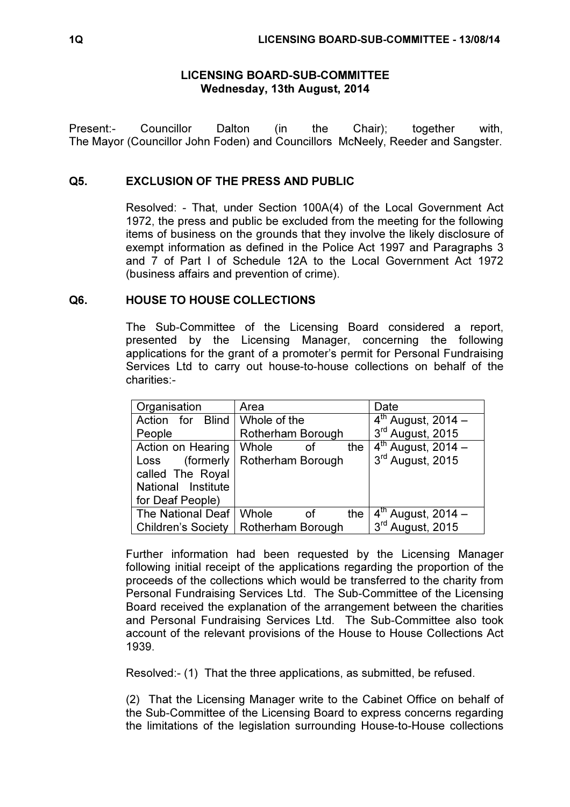#### LICENSING BOARD-SUB-COMMITTEE Wednesday, 13th August, 2014

Present:- Councillor Dalton (in the Chair); together with, The Mayor (Councillor John Foden) and Councillors McNeely, Reeder and Sangster.

#### Q5. EXCLUSION OF THE PRESS AND PUBLIC

 Resolved: - That, under Section 100A(4) of the Local Government Act 1972, the press and public be excluded from the meeting for the following items of business on the grounds that they involve the likely disclosure of exempt information as defined in the Police Act 1997 and Paragraphs 3 and 7 of Part I of Schedule 12A to the Local Government Act 1972 (business affairs and prevention of crime).

### Q6. HOUSE TO HOUSE COLLECTIONS

 The Sub-Committee of the Licensing Board considered a report, presented by the Licensing Manager, concerning the following applications for the grant of a promoter's permit for Personal Fundraising Services Ltd to carry out house-to-house collections on behalf of the charities:-

| Organisation              | Area                      | Date                               |
|---------------------------|---------------------------|------------------------------------|
| Action for Blind          | Whole of the              | $4th$ August, 2014 –               |
| People                    | Rotherham Borough         | 3rd August, 2015                   |
| Action on Hearing         | Whole<br>the<br>οf        | $\overline{4^{th}}$ August, 2014 – |
| (formerly<br>Loss         | Rotherham Borough         | 3rd August, 2015                   |
| called The Royal          |                           |                                    |
| National Institute        |                           |                                    |
| for Deaf People)          |                           |                                    |
| The National Deaf         | Whole<br>the<br><b>of</b> | $4^{th}$ August, 2014 –            |
| <b>Children's Society</b> | Rotherham Borough         | 3rd August, 2015                   |

Further information had been requested by the Licensing Manager following initial receipt of the applications regarding the proportion of the proceeds of the collections which would be transferred to the charity from Personal Fundraising Services Ltd. The Sub-Committee of the Licensing Board received the explanation of the arrangement between the charities and Personal Fundraising Services Ltd. The Sub-Committee also took account of the relevant provisions of the House to House Collections Act 1939.

Resolved:- (1) That the three applications, as submitted, be refused.

(2) That the Licensing Manager write to the Cabinet Office on behalf of the Sub-Committee of the Licensing Board to express concerns regarding the limitations of the legislation surrounding House-to-House collections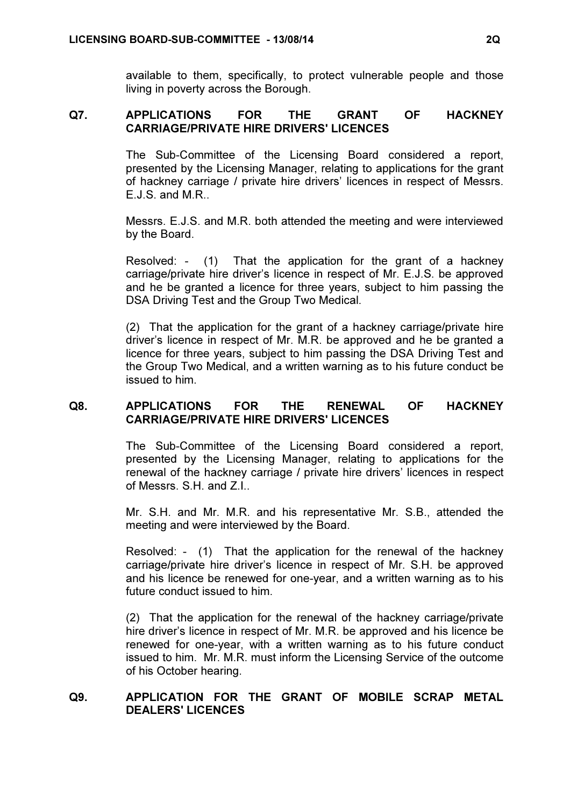available to them, specifically, to protect vulnerable people and those living in poverty across the Borough.

# Q7. APPLICATIONS FOR THE GRANT OF HACKNEY CARRIAGE/PRIVATE HIRE DRIVERS' LICENCES

 The Sub-Committee of the Licensing Board considered a report, presented by the Licensing Manager, relating to applications for the grant of hackney carriage / private hire drivers' licences in respect of Messrs. E.J.S. and M.R..

Messrs. E.J.S. and M.R. both attended the meeting and were interviewed by the Board.

Resolved: - (1) That the application for the grant of a hackney carriage/private hire driver's licence in respect of Mr. E.J.S. be approved and he be granted a licence for three years, subject to him passing the DSA Driving Test and the Group Two Medical.

(2) That the application for the grant of a hackney carriage/private hire driver's licence in respect of Mr. M.R. be approved and he be granted a licence for three years, subject to him passing the DSA Driving Test and the Group Two Medical, and a written warning as to his future conduct be issued to him.

# Q8. APPLICATIONS FOR THE RENEWAL OF HACKNEY CARRIAGE/PRIVATE HIRE DRIVERS' LICENCES

 The Sub-Committee of the Licensing Board considered a report, presented by the Licensing Manager, relating to applications for the renewal of the hackney carriage / private hire drivers' licences in respect of Messrs. S.H. and Z.I..

Mr. S.H. and Mr. M.R. and his representative Mr. S.B., attended the meeting and were interviewed by the Board.

Resolved: - (1) That the application for the renewal of the hackney carriage/private hire driver's licence in respect of Mr. S.H. be approved and his licence be renewed for one-year, and a written warning as to his future conduct issued to him.

(2) That the application for the renewal of the hackney carriage/private hire driver's licence in respect of Mr. M.R. be approved and his licence be renewed for one-year, with a written warning as to his future conduct issued to him. Mr. M.R. must inform the Licensing Service of the outcome of his October hearing.

### Q9. APPLICATION FOR THE GRANT OF MOBILE SCRAP METAL DEALERS' LICENCES